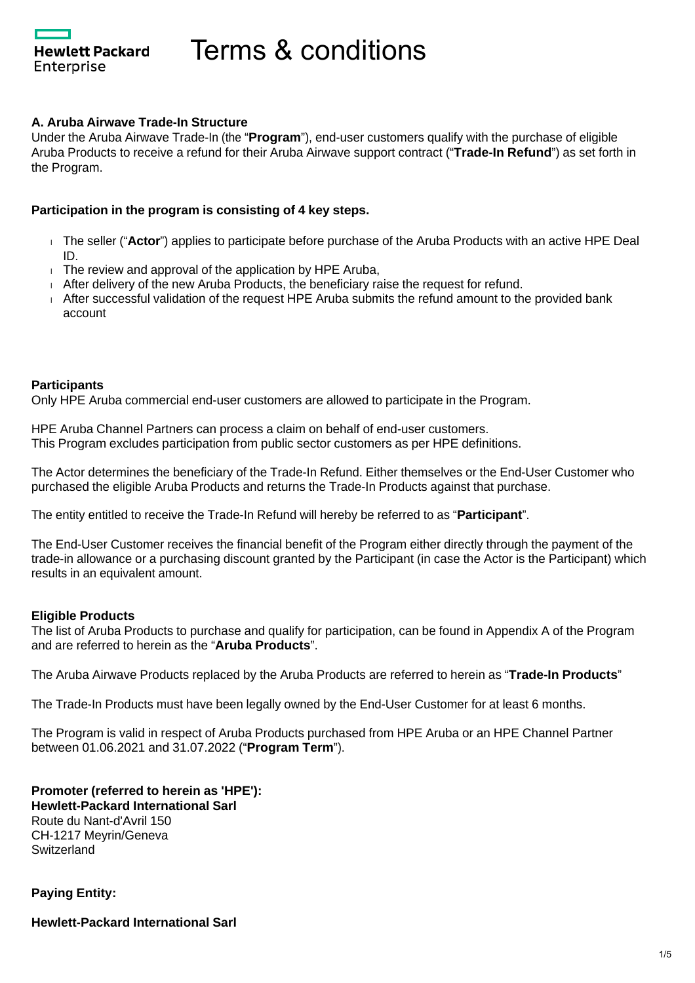

## **A. Aruba Airwave Trade-In Structure**

Under the Aruba Airwave Trade-In (the "**Program**"), end-user customers qualify with the purchase of eligible Aruba Products to receive a refund for their Aruba Airwave support contract ("**Trade-In Refund**") as set forth in the Program.

## **Participation in the program is consisting of 4 key steps.**

- The seller ("**Actor**") applies to participate before purchase of the Aruba Products with an active HPE Deal ID.
- $\overline{1}$ . The review and approval of the application by HPE Aruba,
- $A$  After delivery of the new Aruba Products, the beneficiary raise the request for refund.
- $\overline{A}$  After successful validation of the request HPE Aruba submits the refund amount to the provided bank account

### **Participants**

Only HPE Aruba commercial end-user customers are allowed to participate in the Program.

HPE Aruba Channel Partners can process a claim on behalf of end-user customers. This Program excludes participation from public sector customers as per HPE definitions.

The Actor determines the beneficiary of the Trade-In Refund. Either themselves or the End-User Customer who purchased the eligible Aruba Products and returns the Trade-In Products against that purchase.

The entity entitled to receive the Trade-In Refund will hereby be referred to as "**Participant**".

The End-User Customer receives the financial benefit of the Program either directly through the payment of the trade-in allowance or a purchasing discount granted by the Participant (in case the Actor is the Participant) which results in an equivalent amount.

### **Eligible Products**

The list of Aruba Products to purchase and qualify for participation, can be found in Appendix A of the Program and are referred to herein as the "**Aruba Products**".

The Aruba Airwave Products replaced by the Aruba Products are referred to herein as "**Trade-In Products**"

The Trade-In Products must have been legally owned by the End-User Customer for at least 6 months.

The Program is valid in respect of Aruba Products purchased from HPE Aruba or an HPE Channel Partner between 01.06.2021 and 31.07.2022 ("**Program Term**").

**Promoter (referred to herein as 'HPE'): Hewlett-Packard International Sarl** Route du Nant-d'Avril 150 CH-1217 Meyrin/Geneva **Switzerland** 

**Paying Entity:**

**Hewlett-Packard International Sarl**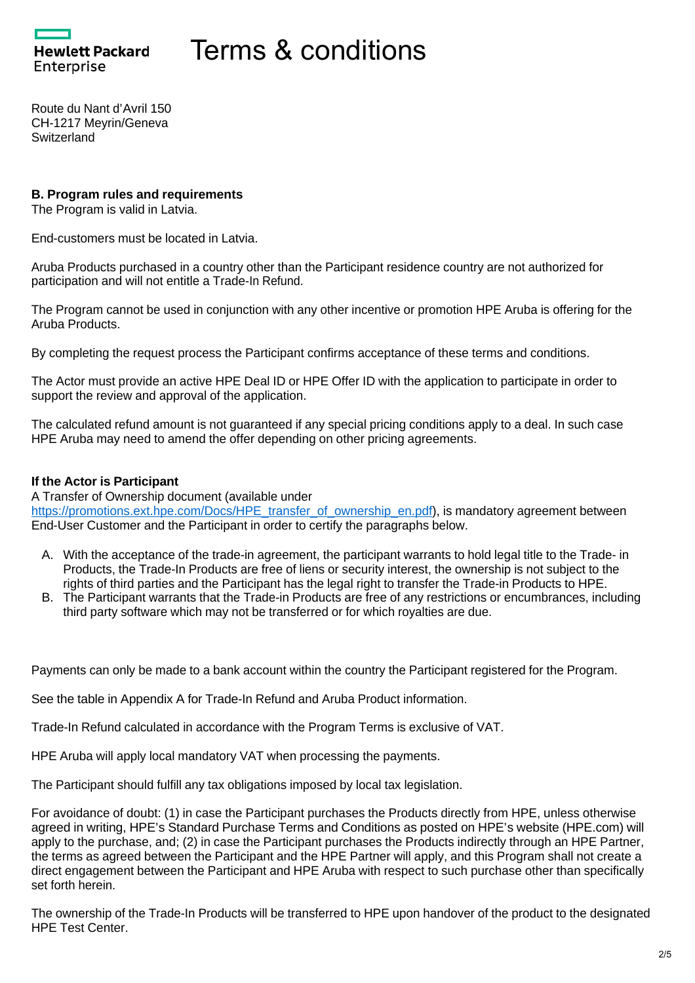**Hewlett Packard** Enterprise

Route du Nant d'Avril 150 CH-1217 Meyrin/Geneva **Switzerland** 

## **B. Program rules and requirements**

The Program is valid in Latvia.

End-customers must be located in Latvia.

Aruba Products purchased in a country other than the Participant residence country are not authorized for participation and will not entitle a Trade-In Refund.

The Program cannot be used in conjunction with any other incentive or promotion HPE Aruba is offering for the Aruba Products.

By completing the request process the Participant confirms acceptance of these terms and conditions.

The Actor must provide an active HPE Deal ID or HPE Offer ID with the application to participate in order to support the review and approval of the application.

The calculated refund amount is not guaranteed if any special pricing conditions apply to a deal. In such case HPE Aruba may need to amend the offer depending on other pricing agreements.

## **If the Actor is Participant**

A Transfer of Ownership document (available under [https://promotions.ext.hpe.com/Docs/HPE\\_transfer\\_of\\_ownership\\_en.pdf](https://promotions.ext.hpe.com/Docs/HPE_transfer_of_ownership_en.pdf)), is mandatory agreement between End-User Customer and the Participant in order to certify the paragraphs below.

- A. With the acceptance of the trade-in agreement, the participant warrants to hold legal title to the Trade- in Products, the Trade-In Products are free of liens or security interest, the ownership is not subject to the rights of third parties and the Participant has the legal right to transfer the Trade-in Products to HPE.
- B. The Participant warrants that the Trade-in Products are free of any restrictions or encumbrances, including third party software which may not be transferred or for which royalties are due.

Payments can only be made to a bank account within the country the Participant registered for the Program.

See the table in Appendix A for Trade-In Refund and Aruba Product information.

Trade-In Refund calculated in accordance with the Program Terms is exclusive of VAT.

HPE Aruba will apply local mandatory VAT when processing the payments.

The Participant should fulfill any tax obligations imposed by local tax legislation.

For avoidance of doubt: (1) in case the Participant purchases the Products directly from HPE, unless otherwise agreed in writing, HPE's Standard Purchase Terms and Conditions as posted on HPE's website (HPE.com) will apply to the purchase, and; (2) in case the Participant purchases the Products indirectly through an HPE Partner, the terms as agreed between the Participant and the HPE Partner will apply, and this Program shall not create a direct engagement between the Participant and HPE Aruba with respect to such purchase other than specifically set forth herein.

The ownership of the Trade-In Products will be transferred to HPE upon handover of the product to the designated HPE Test Center.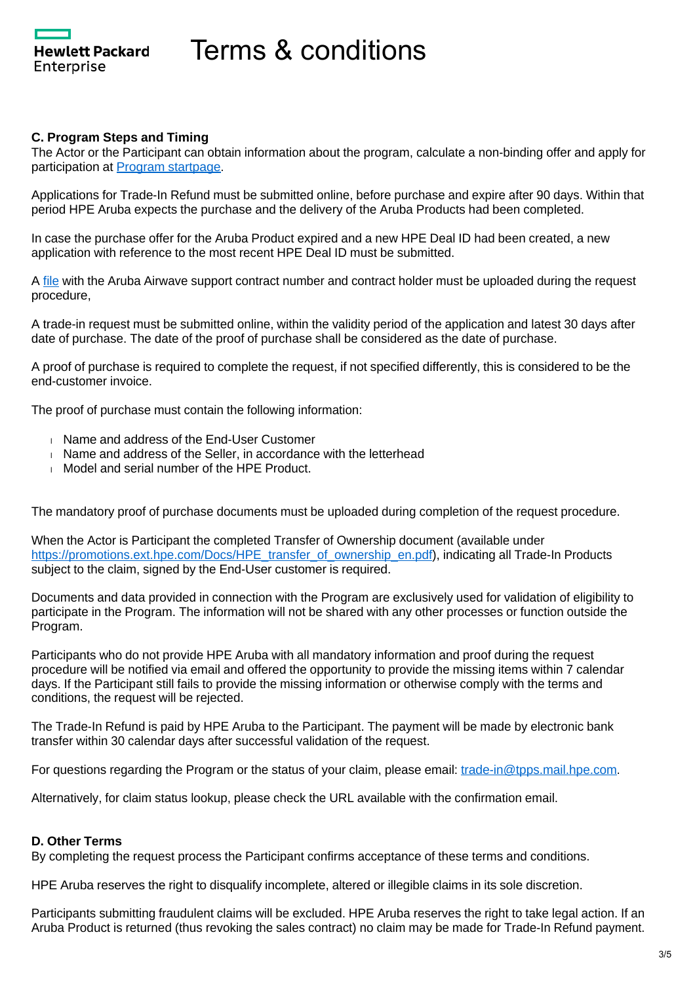**Hewlett Packard** Enterprise

## **C. Program Steps and Timing**

The Actor or the Participant can obtain information about the program, calculate a non-binding offer and apply for participation at [Program startpage.](https://promotions.ext.hpe.com/WMCF.Web/lv/en/promotion/20245/?ocugid=)

Applications for Trade-In Refund must be submitted online, before purchase and expire after 90 days. Within that period HPE Aruba expects the purchase and the delivery of the Aruba Products had been completed.

In case the purchase offer for the Aruba Product expired and a new HPE Deal ID had been created, a new application with reference to the most recent HPE Deal ID must be submitted.

A [file](https://promotions.ext.hpe.com/WMCF.Web/Images/HP/Cleansheet/Special/20245/20245_ReturnProductTemplate_en.pdf) with the Aruba Airwave support contract number and contract holder must be uploaded during the request procedure,

A trade-in request must be submitted online, within the validity period of the application and latest 30 days after date of purchase. The date of the proof of purchase shall be considered as the date of purchase.

A proof of purchase is required to complete the request, if not specified differently, this is considered to be the end-customer invoice.

The proof of purchase must contain the following information:

- **Name and address of the End-User Customer**
- Name and address of the Seller, in accordance with the letterhead
- **Model and serial number of the HPF Product.**

The mandatory proof of purchase documents must be uploaded during completion of the request procedure.

When the Actor is Participant the completed Transfer of Ownership document (available under [https://promotions.ext.hpe.com/Docs/HPE\\_transfer\\_of\\_ownership\\_en.pdf](https://promotions.ext.hpe.com/Docs/HPE_transfer_of_ownership_en.pdf)), indicating all Trade-In Products subject to the claim, signed by the End-User customer is required.

Documents and data provided in connection with the Program are exclusively used for validation of eligibility to participate in the Program. The information will not be shared with any other processes or function outside the Program.

Participants who do not provide HPE Aruba with all mandatory information and proof during the request procedure will be notified via email and offered the opportunity to provide the missing items within 7 calendar days. If the Participant still fails to provide the missing information or otherwise comply with the terms and conditions, the request will be rejected.

The Trade-In Refund is paid by HPE Aruba to the Participant. The payment will be made by electronic bank transfer within 30 calendar days after successful validation of the request.

For questions regarding the Program or the status of your claim, please email: [trade-in@tpps.mail.hpe.com](mailto:trade-in@tpps.mail.hpe.com).

Alternatively, for claim status lookup, please check the URL available with the confirmation email.

### **D. Other Terms**

By completing the request process the Participant confirms acceptance of these terms and conditions.

HPE Aruba reserves the right to disqualify incomplete, altered or illegible claims in its sole discretion.

Participants submitting fraudulent claims will be excluded. HPE Aruba reserves the right to take legal action. If an Aruba Product is returned (thus revoking the sales contract) no claim may be made for Trade-In Refund payment.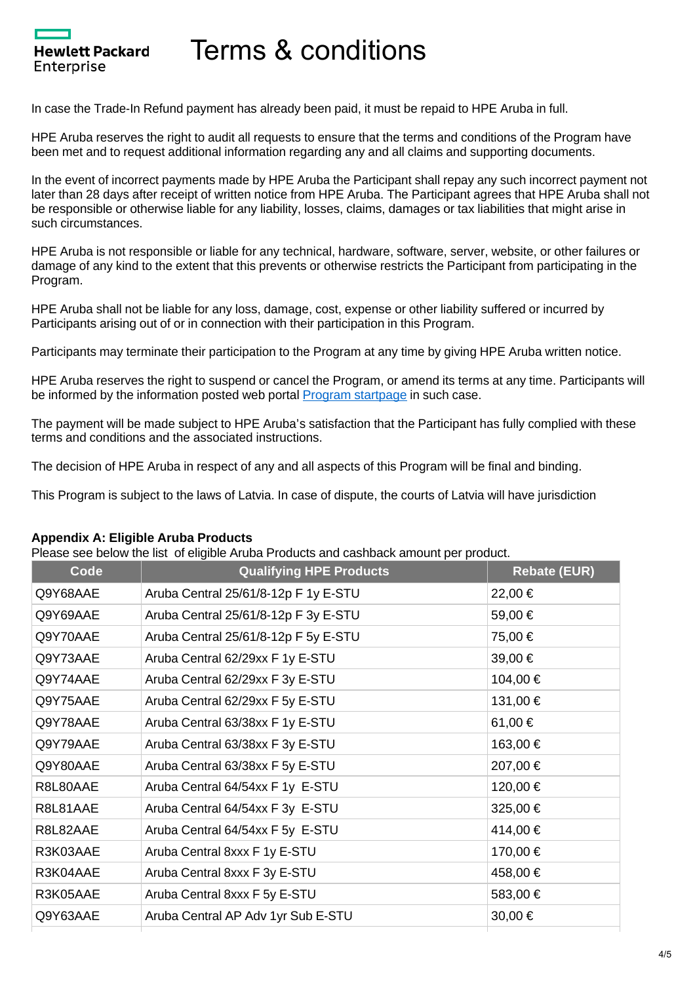In case the Trade-In Refund payment has already been paid, it must be repaid to HPE Aruba in full.

HPE Aruba reserves the right to audit all requests to ensure that the terms and conditions of the Program have been met and to request additional information regarding any and all claims and supporting documents.

In the event of incorrect payments made by HPE Aruba the Participant shall repay any such incorrect payment not later than 28 days after receipt of written notice from HPE Aruba. The Participant agrees that HPE Aruba shall not be responsible or otherwise liable for any liability, losses, claims, damages or tax liabilities that might arise in such circumstances.

HPE Aruba is not responsible or liable for any technical, hardware, software, server, website, or other failures or damage of any kind to the extent that this prevents or otherwise restricts the Participant from participating in the Program.

HPE Aruba shall not be liable for any loss, damage, cost, expense or other liability suffered or incurred by Participants arising out of or in connection with their participation in this Program.

Participants may terminate their participation to the Program at any time by giving HPE Aruba written notice.

HPE Aruba reserves the right to suspend or cancel the Program, or amend its terms at any time. Participants will be informed by the information posted web portal [Program startpage](https://promotions.ext.hpe.com/WMCF.Web/lv/en/promotion/20245/?ocugid=) in such case.

The payment will be made subject to HPE Aruba's satisfaction that the Participant has fully complied with these terms and conditions and the associated instructions.

The decision of HPE Aruba in respect of any and all aspects of this Program will be final and binding.

This Program is subject to the laws of Latvia. In case of dispute, the courts of Latvia will have jurisdiction

### **Appendix A: Eligible Aruba Products**

Hewlett Packard

Enterprise

Please see below the list of eligible Aruba Products and cashback amount per product.

| Code     | <b>Qualifying HPE Products</b>       | <b>Rebate (EUR)</b> |
|----------|--------------------------------------|---------------------|
| Q9Y68AAE | Aruba Central 25/61/8-12p F 1y E-STU | 22,00 €             |
| Q9Y69AAE | Aruba Central 25/61/8-12p F 3y E-STU | 59,00 €             |
| Q9Y70AAE | Aruba Central 25/61/8-12p F 5y E-STU | 75,00 €             |
| Q9Y73AAE | Aruba Central 62/29xx F 1y E-STU     | 39,00 €             |
| Q9Y74AAE | Aruba Central 62/29xx F 3y E-STU     | 104,00 €            |
| Q9Y75AAE | Aruba Central 62/29xx F 5y E-STU     | 131,00 €            |
| Q9Y78AAE | Aruba Central 63/38xx F 1y E-STU     | 61,00 €             |
| Q9Y79AAE | Aruba Central 63/38xx F 3y E-STU     | 163,00 €            |
| Q9Y80AAE | Aruba Central 63/38xx F 5y E-STU     | 207,00 €            |
| R8L80AAE | Aruba Central 64/54xx F 1y E-STU     | 120,00 €            |
| R8L81AAE | Aruba Central 64/54xx F 3y E-STU     | 325,00 €            |
| R8L82AAE | Aruba Central 64/54xx F 5y E-STU     | 414,00 €            |
| R3K03AAE | Aruba Central 8xxx F 1y E-STU        | 170,00 €            |
| R3K04AAE | Aruba Central 8xxx F 3y E-STU        | 458,00 €            |
| R3K05AAE | Aruba Central 8xxx F 5y E-STU        | 583,00 €            |
| Q9Y63AAE | Aruba Central AP Adv 1yr Sub E-STU   | $30,00 \in$         |